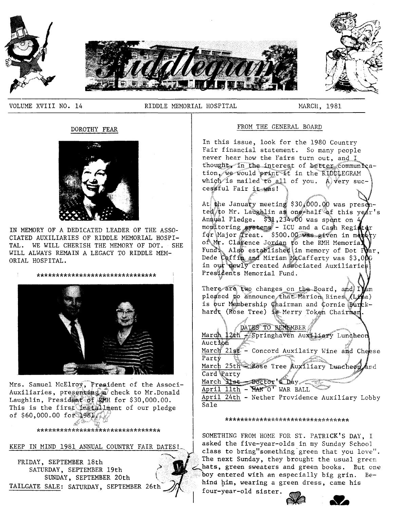

VOLUME XVIII NO. 14

RIDDLE MEMORIAL HOSPITAL

MARCH, 1981

# DOROTHY FEAR



IN MEMORY OF A DEDICATED LEADER OF THE ASSO-CIATED AUXILIARIES OF RIDDLE MEMORIAL HOSPI-TAL. WE WILL CHERISH THE MEMORY OF DOT. SHE WILL ALWAYS REMAIN A LEGACY TO RIDDLE MEM-ORIAL HOSPITAL.



Mrs. Samuel McElroy, President of the Associ-Auxiliaries, presenting a check to Mr.Donald Laughlin, President of RMH for \$30,000.00. This is the first installment of our pledge of \$60,000.00 for 1981

\*\*\*\*\*\*\*\*\*\*\*\*\*\*\*\*\*\*\*\*\*\*\*\*\*\*\*\*\*\*\*\*

KEEP IN MIND 1981 ANNUAL COUNTRY FAIR DATES!

FRIDAY, SEPTEMBER 18th SATURDAY, SEPTEMBER 19th SUNDAY, SEPTEMBER 20th TAILGATE SALE: SATURDAY, SEPTEMBER 26th

# FROM THE GENERAL BOARD

In this issue, look for the 1980 Country Fair financial statement. So many people never hear how the Fairs turn out, and I thought, in the interest of better communication, we would print it in the RIDDIEGRAM which is mailed to all of you. A very successful Fair it was!

At the January meeting \$30,000.00 was prese ted/to Mr. Laughlin as one-half of this year's Annual Pledge. \$31,234.00 was spent on 4 monitoring systems - ICU and a Cash Register for Major Treat. \$500.00 was given in manury of Mr. Clarence Jordan to the RMH Memoria. Fund Also established in memory of Dot Par. Dede Coffin and Miriam McCafferty was \$3,000 in our newly created Associated Auxiliaries Prestdents Memorial Fund.

There are two changes on the Board, and IVam pleased to announce that Marion Rines (Lina) is bur Membership Chairman and Cornie Burckhardt (Rose Tree) is Merry Token Chairman. - di  $\mathbb{R}^2$ 

| DATES TO REMEMBER                              |
|------------------------------------------------|
| March 12th - Springhaven Auxiliary Luncheon    |
| Auction                                        |
| March 21st - Concord Auxilairy Wine and Cheese |
| Party                                          |
| March 25th Rose Tree Auxiliary Luncheon and    |
| Card Party                                     |
| March Stst _Doctor's Day                       |
| April 11th - MAN O' WAR BALL                   |
| April 24th - Nether Providence Auxiliary Lobby |
| Sale                                           |
|                                                |

### \*\*\*\*\*\*\*\*\*\*\*\*\*\*\*\*\*\*\*\*\*\*\*\*\*\*\*\*\*\*\*\*\*

SOMETHING FROM HOME FOR ST. PATRICK'S DAY, I asked the five-year-olds in my Sunday School class to bring"something green that you love". The next Sunday, they brought the usual green hats, green sweaters and green books. But one boy entered with an especially big grin. Behind him, wearing a green dress, came his four-year-old sister.

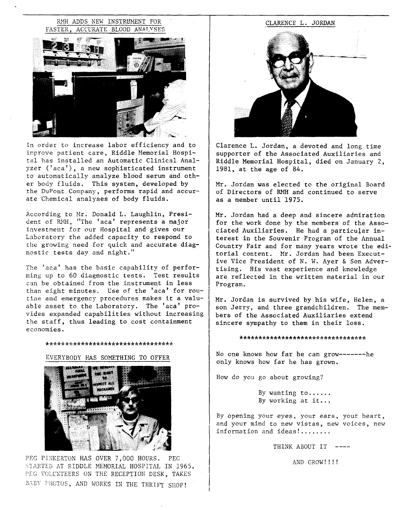# RMH ADDS NEW INSTRUMENT FOR FASTER, ACCURATE BLOOD ANATYSES



In order to increase labor efficiency and to improve patient care, Riddle Memorial Hospital has installed an Automatic Clinical Analyzer ('aca'), a new sophisticated instrument to automatically analyze blood serum and other body fluids. This system, developed by the DuPont Company, performs rapid and accurate Chemical analyses of body fluids.

According to Hr. Donald L. Laughlin, President of RNH, "The 'aca' represents a major investment for our Hospital and gives our Laboratory the added capacity to respond to the growing need for quick and accurate diagnostic tests day and night."

The 'aca' has the basic capability of performing up to 60 diagnostic tests. Test results can be obtained from the instrument in less than eight minutes. Use of the 'aca' for routine and emergency procedures makes it a valuable asset to the Laboratory. The 'aca' provides expanded capabilities without increasing the staff, thus leading to cost containment economies.

#### \*\*\*\*\*\*\*\*\*\*\*\*\*\*\*\*\*\*\*\*\*\*\*\*\*\*\*\*\*\*\*\*\*

#### EVERYBODY HAS SOMETHING TO OFFER



PEG PINKERTON HAS OVER 7,000 HOURS. PEG STARTED AT RIDDLE MEMORIAL HOSPITAL IN 1965. PEG VOLUNTEERS ON THE RECEPTION DESK, TAKES BABY PHOTOS, AND WORKS IN THE THRIFT SHOP!



Clarence L. Jordan, a devoted and long time supporter of the Associated Auxiliaries and Riddle Memorial Hospital, died on January 2, 1981, at the age of 84.

Mr. Jordan was elected to the original Board of Directors of RMH and continued to serve as a member until 1975.

Mr. Jordan had a deep and sincere admiration for the work done by the members of the Associated Auxiliaries. He had a particular interest in the Souvenir Program of the Annual Country Fair and for many years wrote the editorial content. Mr. Jordan had been Executive Vice President of N. W. Ayer & Son Advertising. His vast experience and knowledge are reflected in the written material in our Program.

Mr. Jordan is survived by his wife, Helen, a son Jerry, and three grandchildren. The members of the Associated Auxiliaries extend sincere sympathy to them in their loss.

#### \*\*\*\*\*\*\*\*\*\*\*\*\*\*\*\*\*\*\*\*\*\*\*\*\*\*\*\*\*\*\*\*\*

No one knows how far he can grow-------he only knows how far he has grown.

How do you go about growing?

By wanting to ..... . By working at it...

By opening your eyes, your ears, your heart, and your mind to new vistas, new voices, new information and ideas!.......

THINK ABOUT IT

AND GROW!!!!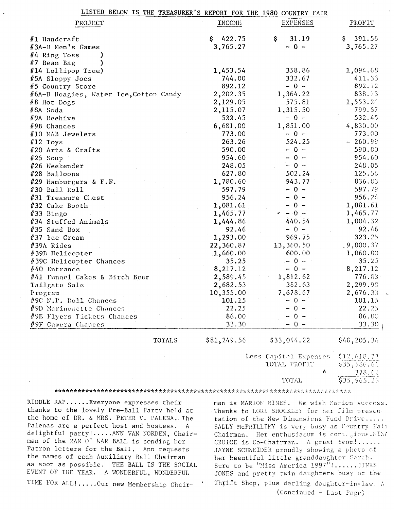| LISTED BELOW IS THE TREASURER'S REPORT FOR THE 1980 COUNTRY FAIR |                       |                 |                            |  |
|------------------------------------------------------------------|-----------------------|-----------------|----------------------------|--|
| PROJECT                                                          | INCOME                | <b>EXPENSES</b> | PROFIT                     |  |
| #1 Handeraft                                                     | 422.75<br>\$          | \$<br>31.19     | 391.56<br>\$.              |  |
| #3A-B Men's Games                                                | 3,765.27              | $-0 -$          | 3,765.27                   |  |
| $#4$ Ring Toss                                                   |                       |                 |                            |  |
| $#7$ Bean Bag                                                    |                       |                 |                            |  |
| $#14$ Lollipop Tree)                                             | 1,453.54              | 358.86          | 1,094.68                   |  |
| #5A Sloppy Joes                                                  | 744.00                | 332.67          | 411.33                     |  |
| #5 Country Store                                                 | 892.12                | $-0 -$          | 892.12                     |  |
| #6A-B Hoagies, Water Ice, Cotton Candy                           | 2,202.35              | 1,364.22        | 838.13                     |  |
| #8 Hot Dogs                                                      | 2,129.05              | 575.81          | 1,553.24                   |  |
| #8A Soda                                                         | 2,115.07              | 1,315.50        | 799.57                     |  |
| #9A Beehive                                                      | 532.45                | $-0 -$          | 532.45                     |  |
| #9B Chances                                                      | 6,681.00              | 1,851.00        | 4,830.00                   |  |
| #10 MAB Jewelers                                                 | 773.00                | $-0 -$          | 773.00                     |  |
| $l$ 12 Toys                                                      | 263.26                | 524.25          | $-260.99$                  |  |
| #20 Arts & Crafts                                                | 590.00                | $-0 -$          | 590.00                     |  |
| $#25$ Soup                                                       | 954.60                | $-0 -$          | 954.60                     |  |
| $#26$ Weekender                                                  | 248.05                | $-0 -$          | 248.05                     |  |
| #28 Balloons                                                     | 627.80                | 502.24          | 125.56                     |  |
| #29 Hamburgers & F.E.                                            | 1,780.60              | 943.77          | 836.83                     |  |
| #30 Ball Roll                                                    | 597.79                | $-0 -$          | 597.79                     |  |
| #31 Treasure Chest                                               | 956.24                | $-0 -$          | 956.24                     |  |
| #32 Cake Booth                                                   | 1,081.61              | $-0 -$          | 1,081.61                   |  |
| $#33$ Bingo                                                      | 1,465.77              | $\cdot$ - 0 -   | 1,465.77                   |  |
| #34 Stuffed Animals                                              | 1,444.86              | 440.54          | 1,004.32                   |  |
| $#35$ Sand Box                                                   | 92.46                 | $-0 -$          | 92.46                      |  |
| #37 lce Cream                                                    | 1,293.00              | 969.75          | 323.25                     |  |
| #39A Rides                                                       | 22,360.87             | 13,360.50       | .9,000.37                  |  |
| #39B Helicopter                                                  | 1,660.00              | 600.00          | 1,060.00                   |  |
| #39C Helicopter Chances                                          | 35.25                 | $-0 -$          | 35.25                      |  |
| $#40$ Entrance                                                   | 8,217.12              | $-0 -$          | 8,217.12                   |  |
| #41 Funnel Cakes & Birch Beer                                    | 2,589.45              | 1,812.62        | 776.83                     |  |
| Tailgate Sale                                                    | 2,682.53              | 382.63          | 2,299.90                   |  |
| Program                                                          | 10,355.00             | 7,678.67        | 2,676.33                   |  |
| #9C N.P. Doll Chances                                            | 101.15                | $-0 -$          | 101.15                     |  |
| #9D Marinonette Chances                                          | 22.25                 | 0 -             | 22.25                      |  |
| #9E Flyers Tickets Chances                                       | 86.00                 | $0 -$           | 86.00                      |  |
| $\#9F$ Camera Chances                                            | 33.30                 | $-0 -$          | 33.30                      |  |
| TOTALS                                                           | \$81,249.56           | \$33,044.22     | \$48,205.34                |  |
|                                                                  | Less Capital Expenses |                 |                            |  |
|                                                                  |                       | TOTAL PROFIT    | \$12,618.73<br>\$35,586.61 |  |
|                                                                  |                       | Ŷ.              | 378.62                     |  |

RIDDLE RAP...... Everyone expresses their thanks to the lovely Pre-Ball Party held at the home of DR. & MRS. PETER V. PALENA. The Palenas are a perfect host and hostess. A delightful party!.....ANN VAN NORDEN, Chairman of the MAN O' WAR BALL is sending her Patron letters for the Ball. Ann requests the names of each Auxiliary Ball Chairman as soon as possible. THE BALL IS THE SOCIAL EVENT OF THE YEAR. A WONDERFUL, WONDERFUL TIME FOR ALL!.....Our new Membership Chair-

man is MARION RINES. We wish Marion success. Thanks to LORI SHOCKLEY for her film presentation of the New Dimensions Fund Drive..... SALLY McPHILLIMY is very busy as Country Fair Chairman. Her enthusiasum is contesious. NINA CRUICE is Co-Chairman. A great team!...... JAYNE SCHNEIDER proudly showing a pheto of her beautiful little granddaughter Sarah. Sure to be "Miss America 1997"!......JINKS JONES and pretty twin daughters busy at the Thrift Shop, plus darling daughter-in-law. A (Continued - Last Page)

TOTAL

Ï

 $$35,965.23$